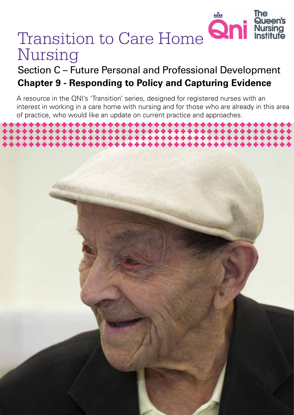

*Transition to Care Home Nursing 1*

# Transition to Care Home **Qni** Nursing

# Section C – Future Personal and Professional Development **Chapter 9 - Responding to Policy and Capturing Evidence**

A resource in the QNI's 'Transition' series, designed for registered nurses with an interest in working in a care home with nursing and for those who are already in this area of practice, who would like an update on current practice and approaches.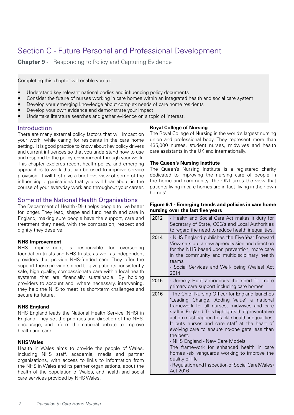# Section C - Future Personal and Professional Development

**Chapter 9** - Responding to Policy and Capturing Evidence

Completing this chapter will enable you to:

- Understand key relevant national bodies and influencing policy documents
- Consider the future of nurses working in care homes within an integrated health and social care system
- Develop your emerging knowledge about complex needs of care home residents
- Develop your own evidence and demonstrate your impact
- Undertake literature searches and gather evidence on a topic of interest.

## Introduction

There are many external policy factors that will impact on your work, while caring for residents in the care home setting. It is good practice to know about key policy drivers and current influences so that you understand how to use and respond to the policy environment through your work. This chapter explores recent health policy, and emerging approaches to work that can be used to improve service provision. It will first give a brief overview of some of the influencing organisations that you will hear about in the course of your everyday work and throughout your career.

## Some of the National Health Organisations

The Department of Health (DH) helps people to live better for longer. They lead, shape and fund health and care in England, making sure people have the support, care and treatment they need, with the compassion, respect and dignity they deserve.

## **NHS Improvement**

NHS Improvement is responsible for overseeing foundation trusts and NHS trusts, as well as independent providers that provide NHS-funded care. They offer the support these providers need to give patients consistently safe, high quality, compassionate care within local health systems that are financially sustainable. By holding providers to account and, where necessary, intervening, they help the NHS to meet its short-term challenges and secure its future.

## **NHS England**

NHS England leads the National Health Service (NHS) in England. They set the priorities and direction of the NHS, encourage, and inform the national debate to improve health and care.

## **NHS Wales**

Health in Wales aims to provide the people of Wales, including NHS staff, academia, media and partner organisations, with access to links to information from the NHS in Wales and its partner organisations, about the health of the population of Wales, and health and social care services provided by NHS Wales. I

## **Royal College of Nursing**

The Royal College of Nursing is the world's largest nursing union and professional body. They represent more than 435,000 nurses, student nurses, midwives and health care assistants in the UK and internationally.

## **The Queen's Nursing Institute**

The Queen's Nursing Institute is a registered charity dedicated to improving the nursing care of people in the home and community. The QNI takes the view that patients living in care homes are in fact 'living in their own homes'.

## **Figure 9.1 - Emerging trends and policies in care home nursing over the last five years**

| 2012 | - Health and Social Care Act makes it duty for<br>Secretary of State, CCG's and Local Authorities<br>to regard the need to reduce health inequalities.                                                                                                                                                                                                                                                                                                                                                                                                                                     |
|------|--------------------------------------------------------------------------------------------------------------------------------------------------------------------------------------------------------------------------------------------------------------------------------------------------------------------------------------------------------------------------------------------------------------------------------------------------------------------------------------------------------------------------------------------------------------------------------------------|
| 2014 | - NHS England publishes the Five Year Forward<br>View sets out a new agreed vision and direction<br>for the NHS based upon prevention, more care<br>in the community and multidisciplinary health<br>teams<br>- Social Services and Well- being (Wales) Act<br>2014                                                                                                                                                                                                                                                                                                                        |
| 2015 | - Jeremy Hunt announces the need for more<br>primary care support including care homes                                                                                                                                                                                                                                                                                                                                                                                                                                                                                                     |
| 2016 | - The Chief Nursing Officer for England launches<br>'Leading Change, Adding Value' a national<br>framework for all nurses, midwives and care<br>staff in England. This highlights that preventative<br>action must happen to tackle health inequalities.<br>It puts nurses and care staff at the heart of<br>evolving care to ensure no-one gets less than<br>the best.<br>- NHS England - New Care Models<br>The framework for enhanced health in care<br>homes -six vanguards working to improve the<br>quality of life<br>- Regulation and Inspection of Social Care(Wales)<br>Act 2016 |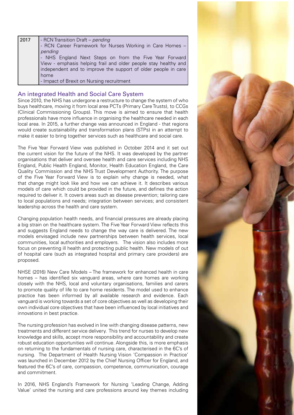| 2017 | - RCN Transition Draft - pending                                |
|------|-----------------------------------------------------------------|
|      | - RCN Career Framework for Nurses Working in Care Homes -       |
|      | pending                                                         |
|      | - NHS England Next Steps on from the Five Year Forward          |
|      | View - emphasis helping frail and older people stay healthy and |
|      | independent and to improve the support of older people in care  |
|      | home                                                            |
|      | - Impact of Brexit on Nursing recruitment                       |

## An integrated Health and Social Care System

Since 2010, the NHS has undergone a restructure to change the system of who buys healthcare, moving it from local area PCTs (Primary Care Trusts), to CCGs (Clinical Commissioning Groups). This move is aimed to ensure that health professionals have more influence in organising the healthcare needed in each local area. In 2015, a further change was announced in England - that regions would create sustainability and transformation plans (STPs) in an attempt to make it easier to bring together services such as healthcare and social care.

The Five Year Forward View was published in October 2014 and it set out the current vision for the future of the NHS. It was developed by the partner organisations that deliver and oversee health and care services including NHS England, Public Health England, Monitor, Health Education England, the Care Quality Commission and the NHS Trust Development Authority. The purpose of the Five Year Forward View is to explain why change is needed, what that change might look like and how we can achieve it. It describes various models of care which could be provided in the future, and defines the action required to deliver it. It covers areas such as disease prevention; tailoring care to local populations and needs; integration between services; and consistent leadership across the health and care system.

Changing population health needs, and financial pressures are already placing a big strain on the healthcare system. The Five Year Forward View reflects this and suggests England needs to change the way care is delivered. The new models envisaged include new partnerships between health services, local communities, local authorities and employers. The vision also includes more focus on preventing ill health and protecting public health. New models of out of hospital care (such as integrated hospital and primary care providers) are proposed.

NHSE (2016) New Care Models – The framework for enhanced health in care homes – has identified six vanguard areas, where care homes are working closely with the NHS, local and voluntary organisations, families and carers to promote quality of life to care home residents. The model used to enhance practice has been informed by all available research and evidence. Each vanguard is working towards a set of core objectives as well as developing their own individual core objectives that have been influenced by local initiatives and innovations in best practice.

The nursing profession has evolved in line with changing disease patterns, new treatments and different service delivery. This trend for nurses to develop new knowledge and skills, accept more responsibility and accountability and create robust education opportunities will continue. Alongside this, is more emphasis on returning to the fundamentals of nursing care, characterised in the 6C's of nursing. The Department of Health Nursing Vision 'Compassion in Practice' was launched in December 2012 by the Chief Nursing Officer for England, and featured the 6C's of care, compassion, competence, communication, courage and commitment.

In 2016, NHS England's Framework for Nursing 'Leading Change, Adding Value' united the nursing and care professions around key themes including

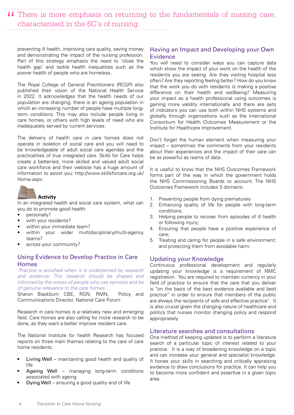II There is more emphasis on returning to the fundamentals of nursing care, characterised in the 6C's of nursing. characterised in the 6C's of nursing.

preventing ill health, improving care quality, saving money and demonstrating the impact of the nursing profession. Part of this strategy emphasis the need to 'close the health gap' and tackle health inequalities such as the poorer health of people who are homeless.

The Royal College of General Practitioners (RCGP) also published their vision of the National Health Service in 2022. It acknowledges that the health needs of our population are changing; there is an ageing population in which an increasing number of people have multiple longterm conditions. This may also include people living in care homes, or others with high levels of need who are inadequately served by current services.

The delivery of health care in care homes does not operate in isolation of social care and you will need to be knowledgeable of adult social care agendas and the practicalities of true integrated care. Skills for Care helps create a better-led, more skilled and valued adult social care workforce and their website has a huge amount of information to assist you: http://www.skillsforcare.org.uk/ Home.aspx



## **Activity**

In an integrated health and social care system, what can you do to promote good health:

- personally?
- with your residents?
- within your immediate team?
- within your wider multidisciplinary/multi-agency teams?
- across your community?

## Using Evidence to Develop Practice in Care Homes

*'Practice is enriched when it is underpinned by research and evidence. This research should be shaped and informed by the voices of people who use services and be of genuine relevance to the care homes.'* 

Sharon Blackburn CBE, RGN, RMN, Policy and Communications Director, National Care Forum

Research in care homes is a relatively new and emerging field. Care homes are also calling for more research to be done, as they want a better improve resident care.

The National Institute for health Research has focused reports on three main themes relating to the care of care home residents:

- Living Well maintaining good health and quality of life
- Ageing Well managing long-term conditions associated with ageing
- Dying Well ensuring a good quality end of life

## Having an Impact and Developing your Own Evidence

You will need to consider ways you can capture data which show the impact of your work on the health of the residents you are seeing. Are they visiting hospital less often? Are they reporting feeling better? How do you know that the work you do with residents is making a positive difference on their health and wellbeing? Measuring your impact as a health professional using outcomes is gaining more validity internationally and there are sets of indicators you can use both within NHS systems and globally through organisations such as the International Consortium for Health Outcomes Measurement or the Institute for Healthcare Improvement.

Don't forget the human element when measuring your impact – sometimes the comments from your residents about their experiences and the impact of their care can be as powerful as reams of data.

It is useful to know that the NHS Outcomes Framework forms part of the way in which the government holds the NHS Commissioning Boards to account. The NHS Outcomes Framework includes 5 domains:

- 1. Preventing people from dying prematurely
- 2. Enhancing quality of life for people with long-term conditions;
- 3. Helping people to recover from episodes of ill health or following injury;
- 4. Ensuring that people have a positive experience of care;
- 5. Treating and caring for people in a safe environment; and protecting them from avoidable harm.

## Updating your Knowledge

Continuous professional development and regularly updating your knowledge is a requirement of NMC registration. You are required to maintain currency in your field of practice to ensure that the care that you deliver is "on the basis of the best evidence available and best practice" in order to ensure that members of the public are always the recipients of safe and effective practice<sup>1</sup>. It is also crucial given the changing nature of healthcare and politics that nurses monitor changing policy and respond appropriately.

## Literature searches and consultations

One method of keeping updated is to perform a literature search of a particular topic of interest related to your practice. It is a way of broadening knowledge on a topic and can increase your general and specialist knowledge. It hones your skills in searching and critically appraising evidence to draw conclusions for practice. It can help you to become more confident and assertive in a given topic area.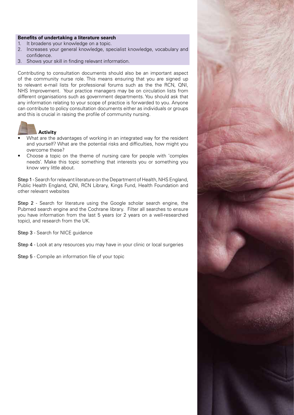## **Benefits of undertaking a literature search**

- 1. It broadens your knowledge on a topic.
- 2. Increases your general knowledge, specialist knowledge, vocabulary and confidence.
- 3. Shows your skill in finding relevant information.

Contributing to consultation documents should also be an important aspect of the community nurse role. This means ensuring that you are signed up to relevant e-mail lists for professional forums such as the the RCN, QNI, NHS Improvement. Your practice managers may be on circulation lists from different organisations such as government departments. You should ask that any information relating to your scope of practice is forwarded to you. Anyone can contribute to policy consultation documents either as individuals or groups and this is crucial in raising the profile of community nursing.



## **Activity**

- What are the advantages of working in an integrated way for the resident and yourself? What are the potential risks and difficulties, how might you overcome these?
- Choose a topic on the theme of nursing care for people with 'complex needs'. Make this topic something that interests you or something you know very little about.

Step 1 - Search for relevant literature on the Department of Health, NHS England, Public Health England, QNI, RCN Library, Kings Fund, Health Foundation and other relevant websites

Step 2 - Search for literature using the Google scholar search engine, the Pubmed search engine and the Cochrane library. Filter all searches to ensure you have information from the last 5 years (or 2 years on a well-researched topic), and research from the UK.

Step 3 - Search for NICE guidance

Step 4 - Look at any resources you may have in your clinic or local surgeries

Step 5 - Compile an information file of your topic

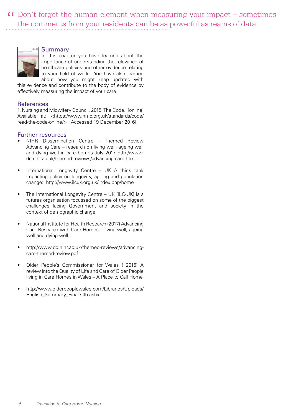$\overline{11}$  Don't forget the human element when measuring your impact – sometimes the comments from your residents can be as powerful as reams of data. the comments from your residents can be as powerful as reams of data.



#### Summary

In this chapter you have learned about the importance of understanding the relevance of healthcare policies and other evidence relating to your field of work. You have also learned about how you might keep updated with

this evidence and contribute to the body of evidence by effectively measuring the impact of your care.

#### **References**

1. Nursing and Midwifery Council, 2015, The Code. [online] Available at: <https://www.nmc.org.uk/standards/code/ read-the-code-online/> [Accessed 19 December 2016].

## Further resources

- NIHR Dissemination Centre Themed Review Advancing Care – research on living well, ageing well and dying well in care homes July 2017 http://www. dc.nihr.ac.uk/themed-reviews/advancing-care.htm.
- International Longevity Centre UK A think tank impacting policy on longevity, ageing and population change: http://www.ilcuk.org.uk/index.php/home
- The International Longevity Centre UK (ILC-UK) is a futures organisation focussed on some of the biggest challenges facing Government and society in the context of demographic change.
- National Institute for Health Research (2017) Advancing Care Research with Care Homes – living well, ageing well and dying well:
- http://www.dc.nihr.ac.uk/themed-reviews/advancingcare-themed-review.pdf
- Older People's Commissioner for Wales ( 2015) A review into the Quality of Life and Care of Older People living in Care Homes in Wales – A Place to Call Home
- http://www.olderpeoplewales.com/Libraries/Uploads/ English\_Summary\_Final.sflb.ashx